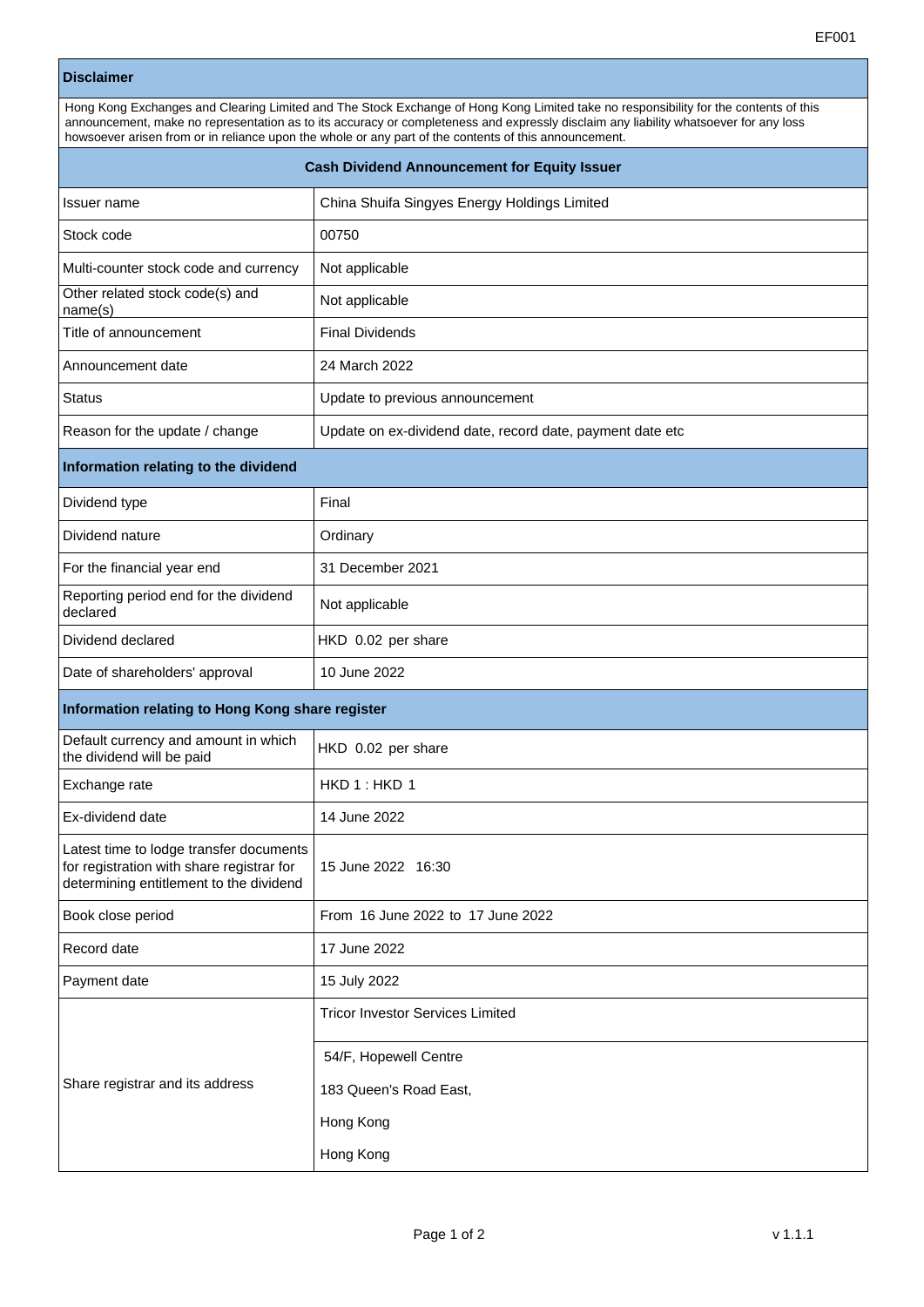## **Disclaimer**

| Hong Kong Exchanges and Clearing Limited and The Stock Exchange of Hong Kong Limited take no responsibility for the contents of this<br>announcement, make no representation as to its accuracy or completeness and expressly disclaim any liability whatsoever for any loss<br>howsoever arisen from or in reliance upon the whole or any part of the contents of this announcement. |                                                           |  |
|---------------------------------------------------------------------------------------------------------------------------------------------------------------------------------------------------------------------------------------------------------------------------------------------------------------------------------------------------------------------------------------|-----------------------------------------------------------|--|
| <b>Cash Dividend Announcement for Equity Issuer</b>                                                                                                                                                                                                                                                                                                                                   |                                                           |  |
| Issuer name                                                                                                                                                                                                                                                                                                                                                                           | China Shuifa Singyes Energy Holdings Limited              |  |
| Stock code                                                                                                                                                                                                                                                                                                                                                                            | 00750                                                     |  |
| Multi-counter stock code and currency                                                                                                                                                                                                                                                                                                                                                 | Not applicable                                            |  |
| Other related stock code(s) and<br>name(s)                                                                                                                                                                                                                                                                                                                                            | Not applicable                                            |  |
| Title of announcement                                                                                                                                                                                                                                                                                                                                                                 | <b>Final Dividends</b>                                    |  |
| Announcement date                                                                                                                                                                                                                                                                                                                                                                     | 24 March 2022                                             |  |
| Status                                                                                                                                                                                                                                                                                                                                                                                | Update to previous announcement                           |  |
| Reason for the update / change                                                                                                                                                                                                                                                                                                                                                        | Update on ex-dividend date, record date, payment date etc |  |
| Information relating to the dividend                                                                                                                                                                                                                                                                                                                                                  |                                                           |  |
| Dividend type                                                                                                                                                                                                                                                                                                                                                                         | Final                                                     |  |
| Dividend nature                                                                                                                                                                                                                                                                                                                                                                       | Ordinary                                                  |  |
| For the financial year end                                                                                                                                                                                                                                                                                                                                                            | 31 December 2021                                          |  |
| Reporting period end for the dividend<br>declared                                                                                                                                                                                                                                                                                                                                     | Not applicable                                            |  |
| Dividend declared                                                                                                                                                                                                                                                                                                                                                                     | HKD 0.02 per share                                        |  |
| Date of shareholders' approval                                                                                                                                                                                                                                                                                                                                                        | 10 June 2022                                              |  |
| Information relating to Hong Kong share register                                                                                                                                                                                                                                                                                                                                      |                                                           |  |
| Default currency and amount in which<br>the dividend will be paid                                                                                                                                                                                                                                                                                                                     | HKD 0.02 per share                                        |  |
| Exchange rate                                                                                                                                                                                                                                                                                                                                                                         | HKD 1: HKD 1                                              |  |
| Ex-dividend date                                                                                                                                                                                                                                                                                                                                                                      | 14 June 2022                                              |  |
| Latest time to lodge transfer documents<br>for registration with share registrar for<br>determining entitlement to the dividend                                                                                                                                                                                                                                                       | 15 June 2022 16:30                                        |  |
| Book close period                                                                                                                                                                                                                                                                                                                                                                     | From 16 June 2022 to 17 June 2022                         |  |
| Record date                                                                                                                                                                                                                                                                                                                                                                           | 17 June 2022                                              |  |
| Payment date                                                                                                                                                                                                                                                                                                                                                                          | 15 July 2022                                              |  |
| Share registrar and its address                                                                                                                                                                                                                                                                                                                                                       | <b>Tricor Investor Services Limited</b>                   |  |
|                                                                                                                                                                                                                                                                                                                                                                                       | 54/F, Hopewell Centre                                     |  |
|                                                                                                                                                                                                                                                                                                                                                                                       | 183 Queen's Road East,                                    |  |
|                                                                                                                                                                                                                                                                                                                                                                                       | Hong Kong                                                 |  |
|                                                                                                                                                                                                                                                                                                                                                                                       | Hong Kong                                                 |  |